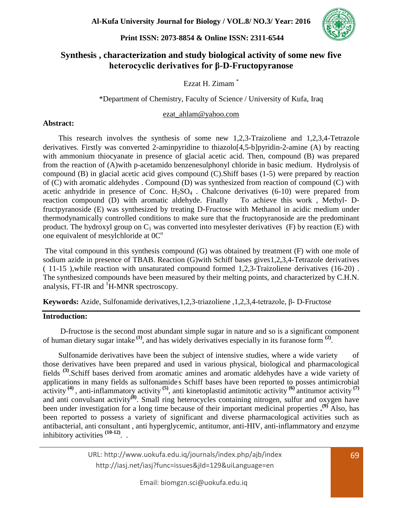

# **Synthesis , characterization and study biological activity of some new five heterocyclic derivatives for β-D-Fructopyranose**

## Ezzat H. Zimam \*

## \*Department of Chemistry, Faculty of Science / University of Kufa, Iraq

#### [ezat\\_ahlam@yahoo.com](mailto:ezat_ahlam@yahoo.com)

#### **Abstract:**

 This research involves the synthesis of some new 1,2,3-Traizoliene and 1,2,3,4-Tetrazole derivatives. Firstly was converted 2-aminpyridine to thiazolo[4,5-b]pyridin-2-amine (A) by reacting with ammonium thiocyanate in presence of glacial acetic acid. Then, compound (B) was prepared from the reaction of (A)with p-acetamido benzenesulphonyl chloride in basic medium. Hydrolysis of compound (B) in glacial acetic acid gives compound (C).Shiff bases (1-5) were prepared by reaction of (C) with aromatic aldehydes . Compound (D) was synthesized from reaction of compound (C) with acetic anhydride in presence of Conc.  $H_2SO_4$ . Chalcone derivatives (6-10) were prepared from reaction compound (D) with aromatic aldehyde. Finally To achieve this work , Methyl- Dfructpyranoside (E) was synthesized by treating D-Fructose with Methanol in acidic medium under thermodynamically controlled conditions to make sure that the fructopyranoside are the predominant product. The hydroxyl group on  $C_1$  was converted into mesylester derivatives (F) by reaction (E) with one equivalent of mesylchloride at  $0^{\circ}$ 

The vital compound in this synthesis compound (G) was obtained by treatment (F) with one mole of sodium azide in presence of TBAB. Reaction (G)with Schiff bases gives1,2,3,4-Tetrazole derivatives ( 11-15 ),while reaction with unsaturated compound formed 1,2,3-Traizoliene derivatives (16-20) . The synthesized compounds have been measured by their melting points, and characterized by C.H.N. analysis, FT-IR and  ${}^{1}$ H-MNR spectroscopy.

**Keywords:** Azide, Sulfonamide derivatives,1,2,3-triazoliene ,1,2,3,4-tetrazole, β- D-Fructose

## **Introduction:**

 D-fructose is the second most abundant simple sugar in nature and so is a significant component of human dietary sugar intake **(1)**, and has widely derivatives especially in its furanose form **(2)** .

 Sulfonamide derivatives have been the subject of intensive studies, where a wide variety of those derivatives have been prepared and used in various physical, biological and pharmacological fields **(3)**.Schiff bases derived from aromatic amines and aromatic aldehydes have a wide variety of applications in many fields as sulfonamide' s Schiff bases have been reported to posses antimicrobial activity **(4)** , anti-inflammatory activity **(5)**, anti kinetoplastid antimitotic activity **(6)** antitumor activity **(7)** and anti convulsant activity**(8)**. Small ring heterocycles containing nitrogen, sulfur and oxygen have been under investigation for a long time because of their important medicinal properties **. (9)** Also, has been reported to possess a variety of significant and diverse pharmacological activities such as antibacterial, anti consultant , anti hyperglycemic, antitumor, anti-HIV, anti-inflammatory and enzyme inhibitory activities **(10-12)** . .

> URL: http://www.uokufa.edu.iq/journals/index.php/ajb/index http://iasj.net/iasj?func=issues&jId=129&uiLanguage=en

Email: biomgzn.sci@uokufa.edu.iq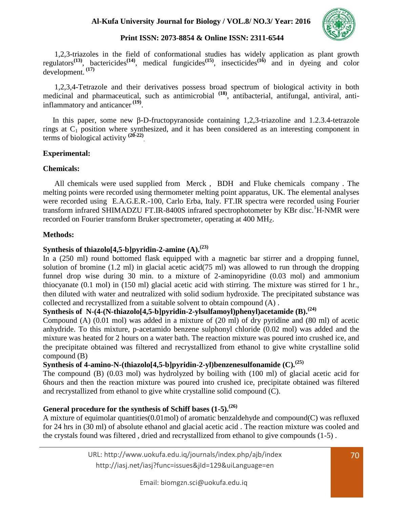

 1,2,3-triazoles in the field of conformational studies has widely application as plant growth regulators**(13)**, bactericides**(14)**, medical fungicides**(15)**, insecticides**(16)** and in dyeing and color development. **(17)**

 1,2,3,4-Tetrazole and their derivatives possess broad spectrum of biological activity in both medicinal and pharmaceutical, such as antimicrobial **(18)**, antibacterial, antifungal, antiviral, antiinflammatory and anticancer **(19)** .

In this paper, some new β-D-fructopyranoside containing 1,2,3-triazoline and 1.2.3.4-tetrazole rings at  $C_1$  position where synthesized, and it has been considered as an interesting component in terms of biological activity **(20-22)** .

#### **Experimental:**

#### **Chemicals:**

 All chemicals were used supplied from Merck , BDH and Fluke chemicals company . The melting points were recorded using thermometer melting point apparatus, UK. The elemental analyses were recorded using E.A.G.E.R.-100, Carlo Erba, Italy. FT.IR spectra were recorded using Fourier transform infrared SHIMADZU FT.IR-8400S infrared spectrophotometer by KBr disc.<sup>1</sup>H-NMR were recorded on Fourier transform Bruker spectrometer, operating at 400 MH<sub>z</sub>.

#### **Methods:**

## **Synthesis of thiazolo[4,5-b]pyridin-2-amine (A).(23)**

In a (250 ml) round bottomed flask equipped with a magnetic bar stirrer and a dropping funnel, solution of bromine  $(1.2 \text{ ml})$  in glacial acetic acid $(75 \text{ ml})$  was allowed to run through the dropping funnel drop wise during 30 min. to a mixture of 2-aminopyridine (0.03 mol) and ammonium thiocyanate (0.1 mol) in (150 ml) glacial acetic acid with stirring. The mixture was stirred for 1 hr., then diluted with water and neutralized with solid sodium hydroxide. The precipitated substance was collected and recrystallized from a suitable solvent to obtain compound (A) .

## **Synthesis of N-(4-(N-thiazolo[4,5-b]pyridin-2-ylsulfamoyl)phenyl)acetamide (B).(24)**

Compound (A) (0.01 mol) was added in a mixture of (20 ml) of dry pyridine and (80 ml) of acetic anhydride. To this mixture, p-acetamido benzene sulphonyl chloride (0.02 mol) was added and the mixture was heated for 2 hours on a water bath. The reaction mixture was poured into crushed ice, and the precipitate obtained was filtered and recrystallized from ethanol to give white crystalline solid compound (B)

# **Synthesis of 4-amino-N-(thiazolo[4,5-b]pyridin-2-yl)benzenesulfonamide (C).(25)**

The compound (B) (0.03 mol) was hydrolyzed by boiling with (100 ml) of glacial acetic acid for 6hours and then the reaction mixture was poured into crushed ice, precipitate obtained was filtered and recrystallized from ethanol to give white crystalline solid compound (C).

# **General procedure for the synthesis of Schiff bases (1-5).(26)**

A mixture of equimolar quantities(0.01mol) of aromatic benzaldehyde and compound(C) was refluxed for 24 hrs in (30 ml) of absolute ethanol and glacial acetic acid . The reaction mixture was cooled and the crystals found was filtered , dried and recrystallized from ethanol to give compounds (1-5) .

> URL: http://www.uokufa.edu.iq/journals/index.php/ajb/index http://iasj.net/iasj?func=issues&jId=129&uiLanguage=en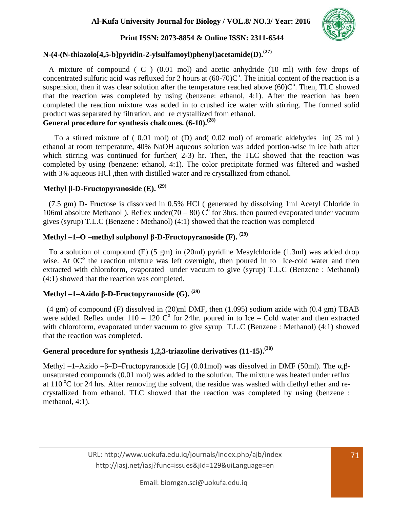

## **N-(4-(N-thiazolo[4,5-b]pyridin-2-ylsulfamoyl)phenyl)acetamide(D).(27)**

 A mixture of compound ( C ) (0.01 mol) and acetic anhydride (10 ml) with few drops of concentrated sulfuric acid was refluxed for 2 hours at  $(60-70)C<sup>o</sup>$ . The initial content of the reaction is a suspension, then it was clear solution after the temperature reached above  $(60)C<sup>o</sup>$ . Then, TLC showed that the reaction was completed by using (benzene: ethanol, 4:1). After the reaction has been completed the reaction mixture was added in to crushed ice water with stirring. The formed solid product was separated by filtration, and re crystallized from ethanol.

# **General procedure for synthesis chalcones. (6-10).(28)**

 To a stirred mixture of ( 0.01 mol) of (D) and( 0.02 mol) of aromatic aldehydes in( 25 ml ) ethanol at room temperature, 40% NaOH aqueous solution was added portion-wise in ice bath after which stirring was continued for further( 2-3) hr. Then, the TLC showed that the reaction was completed by using (benzene: ethanol, 4:1). The color precipitate formed was filtered and washed with 3% aqueous HCl ,then with distilled water and re crystallized from ethanol.

# **Methyl β-D-Fructopyranoside (E). (29)**

 (7.5 gm) D- Fructose is dissolved in 0.5% HCl ( generated by dissolving 1ml Acetyl Chloride in 106ml absolute Methanol ). Reflex under(70 – 80)  $\tilde{C}^{\circ}$  for 3hrs. then poured evaporated under vacuum gives (syrup) T.L.C (Benzene : Methanol) (4:1) showed that the reaction was completed

# **Methyl –1–O –methyl sulphonyl β-D-Fructopyranoside (F). (29)**

 To a solution of compound (E) (5 gm) in (20ml) pyridine Mesylchloride (1.3ml) was added drop wise. At 0C<sup>o</sup> the reaction mixture was left overnight, then poured in to Ice-cold water and then extracted with chloroform, evaporated under vacuum to give (syrup) T.L.C (Benzene : Methanol) (4:1) showed that the reaction was completed.

# **Methyl –1–Azido β-D-Fructopyranoside (G). (29)**

 (4 gm) of compound (F) dissolved in (20)ml DMF, then (1.095) sodium azide with (0.4 gm) TBAB were added. Reflex under  $110 - 120$  C<sup>o</sup> for 24hr. poured in to Ice – Cold water and then extracted with chloroform, evaporated under vacuum to give syrup T.L.C (Benzene: Methanol) (4:1) showed that the reaction was completed.

## **General procedure for synthesis 1,2,3-triazoline derivatives (11-15).(30)**

Methyl –1–Azido –β–D–Fructopyranoside [G] (0.01mol) was dissolved in DMF (50ml). The  $\alpha, \beta$ unsaturated compounds (0.01 mol) was added to the solution. The mixture was heated under reflux at 110  $\rm{^{\circ}C}$  for 24 hrs. After removing the solvent, the residue was washed with diethyl ether and recrystallized from ethanol. TLC showed that the reaction was completed by using (benzene : methanol, 4:1).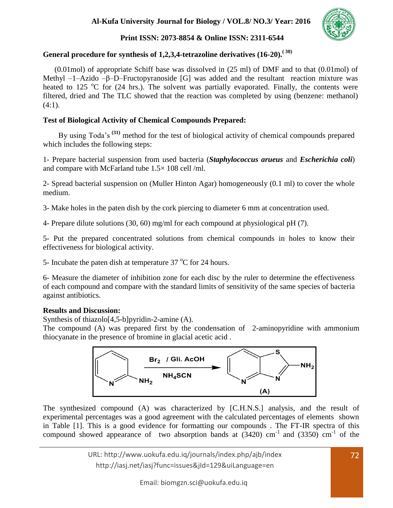**Al-Kufa University Journal for Biology / VOL.8/ NO.3/ Year: 2016**



## **Print ISSN: 2073-8854 & Online ISSN: 2311-6544**

# **General procedure for synthesis of 1,2,3,4-tetrazoline derivatives (16-20).( 30)**

 (0.01mol) of appropriate Schiff base was dissolved in (25 ml) of DMF and to that (0.01mol) of Methyl –1–Azido –β–D–Fructopyranoside [G] was added and the resultant reaction mixture was heated to 125  $\degree$ C for (24 hrs.). The solvent was partially evaporated. Finally, the contents were filtered, dried and The TLC showed that the reaction was completed by using (benzene: methanol)  $(4:1)$ .

## **Test of Biological Activity of Chemical Compounds Prepared:**

 By using Toda's **(31)** method for the test of biological activity of chemical compounds prepared which includes the following steps:

1- Prepare bacterial suspension from used bacteria (*Staphylococcus arueus* and *Escherichia coli*) and compare with McFarland tube 1.5× 108 cell /ml.

2- Spread bacterial suspension on (Muller Hinton Agar) homogeneously (0.1 ml) to cover the whole medium.

3- Make holes in the paten dish by the cork piercing to diameter 6 mm at concentration used.

4- Prepare dilute solutions (30, 60) mg/ml for each compound at physiological pH (7).

5- Put the prepared concentrated solutions from chemical compounds in holes to know their effectiveness for biological activity.

5- Incubate the paten dish at temperature  $37 \degree$ C for 24 hours.

6- Measure the diameter of inhibition zone for each disc by the ruler to determine the effectiveness of each compound and compare with the standard limits of sensitivity of the same species of bacteria against antibiotics.

## **Results and Discussion:**

Synthesis of thiazolo[4,5-b]pyridin-2-amine (A).

The compound (A) was prepared first by the condensation of 2-aminopyridine with ammonium thiocyanate in the presence of bromine in glacial acetic acid .



The synthesized compound (A) was characterized by [C.H.N.S.] analysis, and the result of experimental percentages was a good agreement with the calculated percentages of elements shown in Table [1]. This is a good evidence for formatting our compounds . The FT-IR spectra of this compound showed appearance of two absorption bands at  $(3420)$  cm<sup>-1</sup> and  $(3350)$  cm<sup>-1</sup> of the

> URL: http://www.uokufa.edu.iq/journals/index.php/ajb/index 72 http://iasj.net/iasj?func=issues&jId=129&uiLanguage=en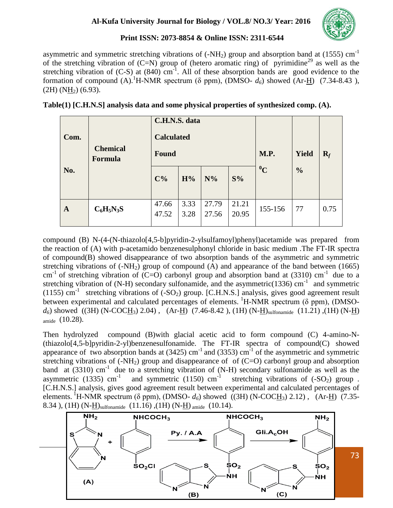

asymmetric and symmetric stretching vibrations of  $(-NH<sub>2</sub>)$  group and absorption band at (1555) cm<sup>-1</sup> of the stretching vibration of  $(C=N)$  group of (hetero aromatic ring) of pyrimidine<sup>29</sup> as well as the stretching vibration of  $(C-S)$  at  $(840)$  cm<sup>-1</sup>. All of these absorption bands are good evidence to the formation of compound  $(A)$ .<sup>1</sup>H-NMR spectrum ( $\delta$  ppm), (DMSO-  $d_{\delta}$ ) showed (Ar-H) (7.34-8.43),  $(2H)$  (NH<sub>2</sub>) (6.93).

| Com.         | C.H.N.S. data<br><b>Calculated</b><br><b>Chemical</b><br>Found<br><b>Formula</b> |                |              |                |                | M.P.    | <b>Yield</b>  | $R_f$ |
|--------------|----------------------------------------------------------------------------------|----------------|--------------|----------------|----------------|---------|---------------|-------|
| No.          |                                                                                  | $C\%$          | H%           | $N\%$          | S%             | $^{0}C$ | $\frac{0}{0}$ |       |
| $\mathbf{A}$ | $C_6H_5N_3S$                                                                     | 47.66<br>47.52 | 3.33<br>3.28 | 27.79<br>27.56 | 21.21<br>20.95 | 155-156 | 77            | 0.75  |

| Table(1) [C.H.N.S] analysis data and some physical properties of synthesized comp. (A). |
|-----------------------------------------------------------------------------------------|
|                                                                                         |

compound (B) N-(4-(N-thiazolo[4,5-b]pyridin-2-ylsulfamoyl)phenyl)acetamide was prepared from the reaction of (A) with p-acetamido benzenesulphonyl chloride in basic medium .The FT-IR spectra of compound(B) showed disappearance of two absorption bands of the asymmetric and symmetric stretching vibrations of  $(-NH<sub>2</sub>)$  group of compound  $(A)$  and appearance of the band between (1665) cm<sup>-1</sup> of stretching vibration of (C=O) carbonyl group and absorption band at (3310) cm<sup>-1</sup> due to a stretching vibration of (N-H) secondary sulfonamide, and the asymmetric(1336) cm<sup>-1</sup> and symmetric (1155) cm<sup>-1</sup> stretching vibrations of  $(-SO_2)$  group. [C.H.N.S.] analysis, gives good agreement result between experimental and calculated percentages of elements.  ${}^{1}$ H-NMR spectrum ( $\delta$  ppm), (DMSO $d_6$ ) showed ((3H) (N-COCH<sub>3</sub>) 2.04), (Ar-H) (7.46-8.42), (1H) (N-H)<sub>sulfonamide</sub> (11.21), (1H) (N-H)  $_{amide}$  (10.28).

Then hydrolyzed compound (B)with glacial acetic acid to form compound (C) 4-amino-N-  $(thiazolo[4,5-b]pyridin-2-yl)benzenesulfonamide.$  The FT-IR spectra of compound(C) showed appearance of two absorption bands at  $(3425)$  cm<sup>-1</sup> and  $(3353)$  cm<sup>-1</sup> of the asymmetric and symmetric stretching vibrations of  $(-NH_2)$  group and disappearance of of  $(C=O)$  carbonyl group and absorption band at (3310) cm<sup>-1</sup> due to a stretching vibration of (N-H) secondary sulfonamide as well as the asymmetric (1335) cm<sup>-1</sup> and symmetric (1150) cm<sup>-1</sup> stretching vibrations of (-SO<sub>2</sub>) group. asymmetric (1335) cm<sup>-1</sup> and symmetric (1150) cm<sup>-1</sup> stretching vibrations of (-SO<sub>2</sub>) group. [C.H.N.S.] analysis, gives good agreement result between experimental and calculated percentages of elements. <sup>1</sup>H-NMR spectrum ( $\delta$  ppm), (DMSO-  $d_{\delta}$ ) showed ((3H) (N-COCH<sub>3</sub>) 2.12), (Ar-H) (7.35-8.34), (1H) (N- $\underline{H}$ )<sub>sulfonamide</sub> (11.16), (1H) (N- $\underline{H}$ )<sub>amide</sub> (10.14).

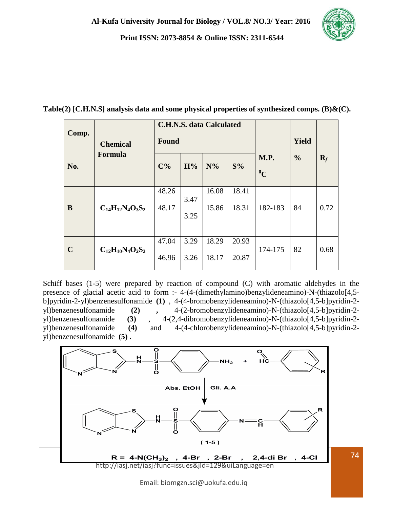

| Comp.       | <b>Chemical</b>         | <b>C.H.N.S. data Calculated</b><br><b>Found</b> |              |                |                |                          | <b>Yield</b>  |       |
|-------------|-------------------------|-------------------------------------------------|--------------|----------------|----------------|--------------------------|---------------|-------|
| No.         | Formula                 | $C\%$                                           | H%           | $N\%$          | S%             | <b>M.P.</b><br>$\rm ^0C$ | $\frac{0}{0}$ | $R_f$ |
| B           | $C_{14}H_{12}N_4O_3S_2$ | 48.26<br>48.17                                  | 3.47<br>3.25 | 16.08<br>15.86 | 18.41<br>18.31 | 182-183                  | 84            | 0.72  |
| $\mathbf C$ | $C_{12}H_{10}N_4O_2S_2$ | 47.04<br>46.96                                  | 3.29<br>3.26 | 18.29<br>18.17 | 20.93<br>20.87 | 174-175                  | 82            | 0.68  |

**Table(2) [C.H.N.S] analysis data and some physical properties of synthesized comps. (B)&(C).**

Schiff bases (1-5) were prepared by reaction of compound (C) with aromatic aldehydes in the presence of glacial acetic acid to form :- 4-(4-(dimethylamino)benzylideneamino)-N-(thiazolo[4,5 b]pyridin-2-yl)benzenesulfonamide **(1)** , 4-(4-bromobenzylideneamino)-N-(thiazolo[4,5-b]pyridin-2 yl)benzenesulfonamide **(2) ,** 4-(2-bromobenzylideneamino)-N-(thiazolo[4,5-b]pyridin-2 yl)benzenesulfonamide **(3)** , 4-(2,4-dibromobenzylideneamino)-N-(thiazolo[4,5-b]pyridin-2 yl)benzenesulfonamide **(4)** and 4-(4-chlorobenzylideneamino)-N-(thiazolo[4,5-b]pyridin-2 yl)benzenesulfonamide **(5) .**



Email: biomgzn.sci@uokufa.edu.iq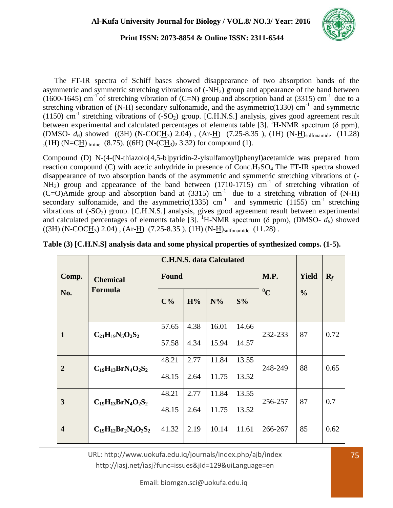

 The FT-IR spectra of Schiff bases showed disappearance of two absorption bands of the asymmetric and symmetric stretching vibrations of  $(-NH<sub>2</sub>)$  group and appearance of the band between (1600-1645) cm<sup>-1</sup> of stretching vibration of (C=N) group and absorption band at (3315) cm<sup>-1</sup> due to a stretching vibration of (N-H) secondary sulfonamide, and the asymmetric(1330) cm<sup>-1</sup> and symmetric (1150) cm<sup>-1</sup> stretching vibrations of  $(-SO_2)$  group. [C.H.N.S.] analysis, gives good agreement result between experimental and calculated percentages of elements table [3]. <sup>1</sup>H-NMR spectrum ( $\delta$  ppm),  $(DMSO- d_6)$  showed  $((3H) (N-COCH_3) 2.04)$ ,  $(Ar-H) (7.25-8.35)$ ,  $(1H) (N-H)$ <sub>sulfonamide</sub>  $(11.28)$ ,(1H) (N=CH)  $_{\text{Imine}}$  (8.75). ((6H) (N-(CH<sub>3</sub>)<sub>2</sub> 3.32) for compound (1).

Compound (D) N-(4-(N-thiazolo[4,5-b]pyridin-2-ylsulfamoyl)phenyl)acetamide was prepared from reaction compound  $(C)$  with acetic anhydride in presence of Conc. $H_2SO_4$  The FT-IR spectra showed disappearance of two absorption bands of the asymmetric and symmetric stretching vibrations of (-  $NH<sub>2</sub>$ ) group and appearance of the band between (1710-1715) cm<sup>-1</sup> of stretching vibration of  $(C=O)$ Amide group and absorption band at (3315) cm<sup>-1</sup> due to a stretching vibration of (N-H) secondary sulfonamide, and the asymmetric(1335) cm<sup>-1</sup> and symmetric (1155) cm<sup>-1</sup> stretching vibrations of  $(-SO_2)$  group. [C.H.N.S.] analysis, gives good agreement result between experimental and calculated percentages of elements table [3]. <sup>1</sup>H-NMR spectrum ( $\delta$  ppm), (DMSO-  $d_6$ ) showed  $((3H) (N-COCH<sub>3</sub>) 2.04)$ ,  $(Ar-H) (7.25-8.35)$ ,  $(1H) (N-H)$ <sub>sulfonamide</sub>  $(11.28)$ .

|                         |                             | <b>C.H.N.S. data Calculated</b> |              |       |       |           |               |                |
|-------------------------|-----------------------------|---------------------------------|--------------|-------|-------|-----------|---------------|----------------|
| Comp.                   | <b>Chemical</b>             |                                 | <b>Found</b> |       |       |           | <b>Yield</b>  | $\mathbf{R}_f$ |
| No.                     | Formula                     | $C\%$                           | H%           | $N\%$ | S%    | $\rm ^0C$ | $\frac{0}{0}$ |                |
| $\mathbf{1}$            | $C_{21}H_{19}N_5O_2S_2$     | 57.65                           | 4.38         | 16.01 | 14.66 | 232-233   | 87            | 0.72           |
|                         |                             | 57.58                           | 4.34         | 15.94 | 14.57 |           |               |                |
| $\overline{2}$          | $C_{19}H_{13}BrN_4O_2S_2$   | 48.21                           | 2.77         | 11.84 | 13.55 | 248-249   | 88            | 0.65           |
|                         |                             | 48.15                           | 2.64         | 11.75 | 13.52 |           |               |                |
| 3                       | $C_{19}H_{13}BrN_4O_2S_2$   | 48.21                           | 2.77         | 11.84 | 13.55 | 256-257   | 87            | 0.7            |
|                         |                             | 48.15                           | 2.64         | 11.75 | 13.52 |           |               |                |
| $\overline{\mathbf{4}}$ | $C_{19}H_{12}Br_2N_4O_2S_2$ | 41.32                           | 2.19         | 10.14 | 11.61 | 266-267   | 85            | 0.62           |

|  | Table (3) [C.H.N.S] analysis data and some physical properties of synthesized comps. (1-5). |  |  |
|--|---------------------------------------------------------------------------------------------|--|--|
|  |                                                                                             |  |  |

URL: http://www.uokufa.edu.iq/journals/index.php/ajb/index http://iasj.net/iasj?func=issues&jId=129&uiLanguage=en

Email: biomgzn.sci@uokufa.edu.iq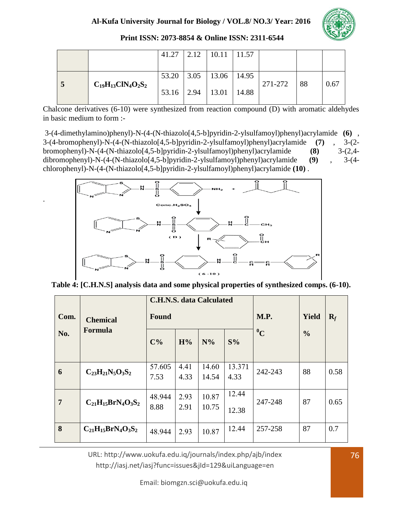

|  |                           | 41.27 | 2.12           | 10.11          | 11.57 |         |    |      |
|--|---------------------------|-------|----------------|----------------|-------|---------|----|------|
|  |                           | 53.20 |                | $3.05$   13.06 | 14.95 |         |    |      |
|  | $C_{19}H_{13}CIN_4O_2S_2$ | 53.16 | $2.94$   13.01 |                | 14.88 | 271-272 | 88 | 0.67 |

Chalcone derivatives (6-10) were synthesized from reaction compound (D) with aromatic aldehydes in basic medium to form :-

3-(4-dimethylamino)phenyl)-N-(4-(N-thiazolo[4,5-b]pyridin-2-ylsulfamoyl)phenyl)acrylamide **(6)** , 3-(4-bromophenyl)-N-(4-(N-thiazolo[4,5-b]pyridin-2-ylsulfamoyl)phenyl)acrylamide **(7)** , 3-(2 bromophenyl)-N-(4-(N-thiazolo[4,5-b]pyridin-2-ylsulfamoyl)phenyl)acrylamide **(8)** 3-(2,4 dibromophenyl)-N-(4-(N-thiazolo[4,5-b]pyridin-2-ylsulfamoyl)phenyl)acrylamide **(9)** , 3-(4 chlorophenyl)-N-(4-(N-thiazolo[4,5-b]pyridin-2-ylsulfamoyl)phenyl)acrylamide **(10)** .



.

**Table 4: [C.H.N.S] analysis data and some physical properties of synthesized comps. (6-10).**

| Com.           | <b>Chemical</b><br>Formula | <b>Found</b>   |              | <b>C.H.N.S. data Calculated</b> | <b>M.P.</b>    | Yield   | $\mathbf{R}_f$ |      |
|----------------|----------------------------|----------------|--------------|---------------------------------|----------------|---------|----------------|------|
| No.            |                            | $C\%$          | H%           | $N\%$                           | S%             | $^{0}C$ | $\frac{0}{0}$  |      |
| 6              | $C_{23}H_{21}N_5O_3S_2$    | 57.605<br>7.53 | 4.41<br>4.33 | 14.60<br>14.54                  | 13.371<br>4.33 | 242-243 | 88             | 0.58 |
| $\overline{7}$ | $C_{21}H_{15}BrN_4O_3S_2$  | 48.944<br>8.88 | 2.93<br>2.91 | 10.87<br>10.75                  | 12.44<br>12.38 | 247-248 | 87             | 0.65 |
| 8              | $C_{21}H_{15}BrN_4O_3S_2$  | 48.944         | 2.93         | 10.87                           | 12.44          | 257-258 | 87             | 0.7  |

URL: http://www.uokufa.edu.iq/journals/index.php/ajb/index http://iasj.net/iasj?func=issues&jId=129&uiLanguage=en

Email: biomgzn.sci@uokufa.edu.iq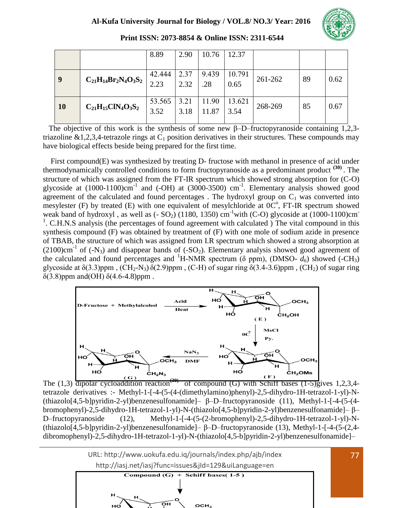

|            |                             | 8.89           | 2.90         | 10.76          | 12.37          |         |    |      |
|------------|-----------------------------|----------------|--------------|----------------|----------------|---------|----|------|
| $\sqrt{9}$ | $C_{21}H_{14}Br_2N_4O_3S_2$ | 42.444<br>2.23 | 2.37<br>2.32 | 9.439<br>.28   | 10.791<br>0.65 | 261-262 | 89 | 0.62 |
| <b>10</b>  | $C_{21}H_{15}CIN_4O_3S_2$   | 53.565<br>3.52 | 3.21<br>3.18 | 11.90<br>11.87 | 13.621<br>3.54 | 268-269 | 85 | 0.67 |

**Print ISSN: 2073-8854 & Online ISSN: 2311-6544**

The objective of this work is the synthesis of some new  $\beta$ –D–fructopyranoside containing 1,2,3triazoline  $&1,2,3,4$ -tetrazole rings at  $C_1$  position derivatives in their structures. These compounds may have biological effects beside being prepared for the first time.

 First compound(E) was synthesized by treating D- fructose with methanol in presence of acid under thermodynamically controlled conditions to form fructopyranoside as a predominant product **(30)** . The structure of which was assigned from the FT-IR spectrum which showed strong absorption for (C-O) glycoside at  $(1000-1100)$ cm<sup>-1</sup> and  $(-OH)$  at  $(3000-3500)$  cm<sup>-1</sup>. Elementary analysis showed good agreement of the calculated and found percentages. The hydroxyl group on  $C_1$  was converted into mesylester (F) by treated (E) with one equivalent of mesylchloride at  $0^\circ$ , FT-IR spectrum showed weak band of hydroxyl, as well as  $(-SO_2)$  (1180, 1350) cm<sup>-1</sup>with (C-O) glycoside at (1000-1100)cm<sup>-</sup> <sup>1</sup>. C.H.N.S analysis (the percentages of found agreement with calculated ) The vital compound in this synthesis compound (F) was obtained by treatment of (F) with one mole of sodium azide in presence of TBAB, the structure of which was assigned from I.R spectrum which showed a strong absorption at  $(2100)$ cm<sup>-1</sup> of (-N<sub>3</sub>) and disappear bands of (-SO<sub>2</sub>). Elementary analysis showed good agreement of the calculated and found percentages and <sup>1</sup>H-NMR spectrum ( $\delta$  ppm), (DMSO-  $d_6$ ) showed (-CH<sub>3</sub>) glycoside at  $\delta$ (3.3)ppm, (CH<sub>2</sub>-N<sub>3</sub>)  $\delta$ (2.9)ppm, (C-H) of sugar ring  $\delta$ (3.4-3.6)ppm, (CH<sub>2</sub>) of sugar ring δ(3.8)ppm and(OH) δ(4.6-4.8)ppm .



The  $(1,3)$  dipolar cycloaddition reaction<sup>(30)</sup> of compound (G) with Schiff bases  $(1-5)$ gives 1,2,3,4tetrazole derivatives :- Methyl-1-[-4-(5-(4-(dimethylamino)phenyl)-2,5-dihydro-1H-tetrazol-1-yl)-N- (thiazolo[4,5-b]pyridin-2-yl)benzenesulfonamide]– β–D–fructopyranoside (11), Methyl-1-[-4-(5-(4 bromophenyl)-2,5-dihydro-1H-tetrazol-1-yl)-N-(thiazolo[4,5-b]pyridin-2-yl)benzenesulfonamide]– β– D–fructopyranoside (12), Methyl-1-[-4-(5-(2-bromophenyl)-2,5-dihydro-1H-tetrazol-1-yl)-N- (thiazolo[4,5-b]pyridin-2-yl)benzenesulfonamide]– β–D–fructopyranoside (13), Methyl-1-[-4-(5-(2,4 dibromophenyl)-2,5-dihydro-1H-tetrazol-1-yl)-N-(thiazolo[4,5-b]pyridin-2-yl)benzenesulfonamide]–

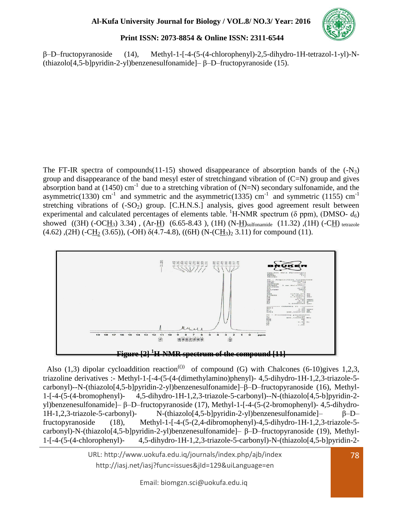

β–D–fructopyranoside (14), Methyl-1-[-4-(5-(4-chlorophenyl)-2,5-dihydro-1H-tetrazol-1-yl)-N- (thiazolo[4,5-b]pyridin-2-yl)benzenesulfonamide]– β–D–fructopyranoside (15).

The FT-IR spectra of compounds(11-15) showed disappearance of absorption bands of the  $(-N_3)$ group and disappearance of the band mesyl ester of stretchingand vibration of (C=N) group and gives absorption band at (1450) cm<sup>-1</sup> due to a stretching vibration of (N=N) secondary sulfonamide, and the asymmetric(1330) cm<sup>-1</sup> and symmetric and the asymmetric(1335) cm<sup>-1</sup> and symmetric (1155) cm<sup>-1</sup> stretching vibrations of  $(-SO_2)$  group. [C.H.N.S.] analysis, gives good agreement result between experimental and calculated percentages of elements table. <sup>1</sup>H-NMR spectrum ( $\delta$  ppm), (DMSO-  $d_6$ ) showed  $((3H) (-OCH_3) 3.34)$ ,  $(Ar-H) (6.65-8.43)$ ,  $(1H) (N-H)$ <sub>sulfonamide</sub>  $(11.32)$ ,  $(1H) (-CH)$ <sub>tetrazole</sub>  $(4.62)$ ,  $(2H)$  (-CH<sub>2</sub>  $(3.65)$ ), (-OH)  $\delta$ (4.7-4.8), ((6H) (N-(CH<sub>3</sub>)<sub>2</sub> 3.11) for compound (11).



Also (1,3) dipolar cycloaddition reaction<sup>(0)</sup> of compound (G) with Chalcones (6-10)gives 1,2,3, triazoline derivatives :- Methyl-1-[-4-(5-(4-(dimethylamino)phenyl)- 4,5-dihydro-1H-1,2,3-triazole-5 carbonyl)--N-(thiazolo[4,5-b]pyridin-2-yl)benzenesulfonamide]–β–D–fructopyranoside (16), Methyl-1-[-4-(5-(4-bromophenyl)- 4,5-dihydro-1H-1,2,3-triazole-5-carbonyl)--N-(thiazolo[4,5-b]pyridin-2 yl)benzenesulfonamide]– β–D–fructopyranoside (17), Methyl-1-[-4-(5-(2-bromophenyl)- 4,5-dihydro-1H-1,2,3-triazole-5-carbonyl)- N-(thiazolo[4,5-b]pyridin-2-yl)benzenesulfonamide]– β–D– fructopyranoside (18), Methyl-1-[-4-(5-(2,4-dibromophenyl)-4,5-dihydro-1H-1,2,3-triazole-5 carbonyl)-N-(thiazolo[4,5-b]pyridin-2-yl)benzenesulfonamide]– β–D–fructopyranoside (19), Methyl-1-[-4-(5-(4-chlorophenyl)- 4,5-dihydro-1H-1,2,3-triazole-5-carbonyl)-N-(thiazolo[4,5-b]pyridin-2-

> URL: http://www.uokufa.edu.iq/journals/index.php/ajb/index 78 http://iasj.net/iasj?func=issues&jId=129&uiLanguage=en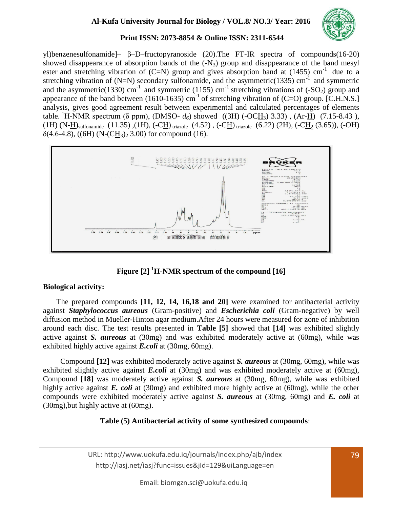

yl)benzenesulfonamide]– β–D–fructopyranoside (20).The FT-IR spectra of compounds(16-20) showed disappearance of absorption bands of the  $(-N_3)$  group and disappearance of the band mesyl ester and stretching vibration of  $(C=N)$  group and gives absorption band at (1455) cm<sup>-1</sup> due to a stretching vibration of (N=N) secondary sulfonamide, and the asymmetric(1335) cm<sup>-1</sup> and symmetric and the asymmetric(1330) cm<sup>-1</sup> and symmetric (1155) cm<sup>-1</sup> stretching vibrations of (-SO<sub>2</sub>) group and appearance of the band between (1610-1635) cm<sup>-1</sup> of stretching vibration of (C=O) group. [C.H.N.S.] analysis, gives good agreement result between experimental and calculated percentages of elements table. <sup>1</sup>H-NMR spectrum (δ ppm), (DMSO-  $d_6$ ) showed ((3H) (-OCH<sub>3</sub>) 3.33), (Ar-H) (7.15-8.43), (1H) (N-H)<sub>sulfonamide</sub> (11.35),(1H), (-CH) <sub>triazole</sub> (4.52), (-CH) <sub>triazole</sub> (6.22) (2H), (-CH<sub>2</sub> (3.65)), (-OH)  $\delta$ (4.6-4.8), ((6H) (N-(CH<sub>3</sub>)<sub>2</sub> 3.00) for compound (16).



**Figure [2] <sup>1</sup>H**-**NMR spectrum of the compound [16]**

## **Biological activity:**

 The prepared compounds **[11, 12, 14, 16,18 and 20]** were examined for antibacterial activity against *Staphylococcus aureous* (Gram-positive) and *Escherichia coli* (Gram-negative) by well diffusion method in Mueller-Hinton agar medium.After 24 hours were measured for zone of inhibition around each disc. The test results presented in **Table [5]** showed that **[14]** was exhibited slightly active against *S. aureous* at (30mg) and was exhibited moderately active at (60mg), while was exhibited highly active against *E.coli* at (30mg, 60mg).

 Compound **[12]** was exhibited moderately active against *S. aureous* at (30mg, 60mg), while was exhibited slightly active against *E.coli* at (30mg) and was exhibited moderately active at (60mg), Compound **[18]** was moderately active against *S. aureous* at (30mg, 60mg), while was exhibited highly active against *E. coli* at (30mg) and exhibited more highly active at (60mg), while the other compounds were exhibited moderately active against *S. aureous* at (30mg, 60mg) and *E. coli* at (30mg),but highly active at (60mg).

# **Table (5) Antibacterial activity of some synthesized compounds**:

URL: http://www.uokufa.edu.iq/journals/index.php/ajb/index http://iasj.net/iasj?func=issues&jId=129&uiLanguage=en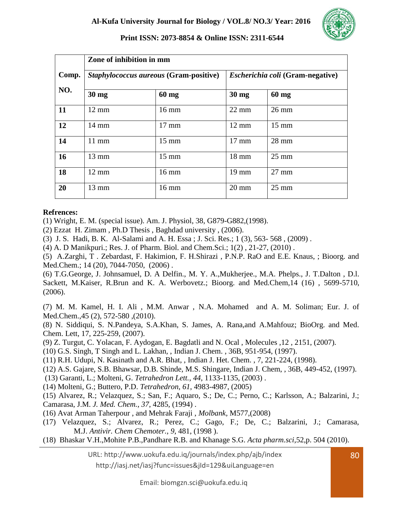

|       | Zone of inhibition in mm |                                        |                                         |                 |  |  |  |  |  |
|-------|--------------------------|----------------------------------------|-----------------------------------------|-----------------|--|--|--|--|--|
| Comp. |                          | Staphylococcus aureous (Gram-positive) | <i>Escherichia coli</i> (Gram-negative) |                 |  |  |  |  |  |
| NO.   | $30$ mg                  | $60$ mg                                | $30 \text{ mg}$                         | $60$ mg         |  |  |  |  |  |
| 11    | $12 \text{ mm}$          | $16 \text{ mm}$                        | $22 \text{ mm}$                         | $26 \text{ mm}$ |  |  |  |  |  |
| 12    | $14 \text{ mm}$          | $17 \text{ mm}$                        | $12 \text{ mm}$                         | $15 \text{ mm}$ |  |  |  |  |  |
| 14    | $11$ mm                  | $15 \text{ mm}$                        | $17 \text{ mm}$                         | 28 mm           |  |  |  |  |  |
| 16    | $13 \text{ mm}$          | $15 \text{ mm}$                        | 18 mm                                   | $25 \text{ mm}$ |  |  |  |  |  |
| 18    | $12 \text{ mm}$          | $16 \text{ mm}$                        | $19 \text{ mm}$                         | $27 \text{ mm}$ |  |  |  |  |  |
| 20    | 13 mm                    | $16 \text{ mm}$                        | $20 \text{ mm}$                         | $25 \text{ mm}$ |  |  |  |  |  |

## **Refrences:**

(1) Wright, E. M. (special issue). Am. J. Physiol, 38, G879-G882,(1998).

- (2) Ezzat H. Zimam , Ph.D Thesis , Baghdad university , (2006).
- (3) J. S. Hadi, B. K. Al-Salami and A. H. Essa ; J. Sci. Res.; 1 (3), 563- 568 , (2009) .
- (4) A. D Manikpuri.; Res. J. of Pharm. Biol. and Chem.Sci.; 1(2) , 21-27, (2010) .

(5) A.Zarghi, T . Zebardast, F. Hakimion, F. H.Shirazi , P.N.P. RaO and E.E. Knaus, ; Bioorg. and Med.Chem.; 14 (20), 7044-7050, (2006).

(6) T.G.George, J. Johnsamuel, D. A Delfin., M. Y. A.,Mukherjee., M.A. Phelps., J. T.Dalton , D.l. Sackett, M.Kaiser, R.Brun and K. A. Werbovetz.; Bioorg. and Med.Chem,14 (16) , 5699-5710, (2006).

(7) M. M. Kamel, H. I. Ali , M.M. Anwar , N.A. Mohamed and A. M. Soliman; Eur. J. of Med.Chem., 45 (2), 572-580 (2010).

(8) N. Siddiqui, S. N.Pandeya, S.A.Khan, S. James, A. Rana,and A.Mahfouz; BioOrg. and Med. Chem. Lett, 17, 225-259, (2007).

(9) Z. Turgut, C. Yolacan, F. Aydogan, E. Bagdatli and N. Ocal , Molecules ,12 , 2151, (2007).

(10) G.S. Singh, T Singh and L. Lakhan, , Indian J. Chem. , 36B, 951-954, (1997).

(11) R.H. Udupi, N. Kasinath and A.R. Bhat, , Indian J. Het. Chem. , 7, 221-224, (1998).

(12) A.S. Gajare, S.B. Bhawsar, D.B. Shinde, M.S. Shingare, Indian J. Chem, , 36B, 449-452, (1997).

(13) Garanti, L.; Molteni, G. *Tetrahedron Lett.*, *44*, 1133-1135, (2003) .

(14) Molteni, G.; Buttero, P.D. *Tetrahedron*, *61*, 4983-4987, (2005)

(15) Alvarez, R.; Velazquez, S.; San, F.; Aquaro, S.; De, C.; Perno, C.; Karlsson, A.; Balzarini, J.; Camarasa, J.M. *J. Med. Chem.*, *37*, 4285, (1994) .

(16) Avat Arman Taherpour , and Mehrak Faraji , *Molbank,* M577,(2008)

- (17) Velazquez, S.; Alvarez, R.; Perez, C.; Gago, F.; De, C.; Balzarini, J.; Camarasa, M.J. *Antivir. Chem Chemoter.*, *9*, 481, (1998 ).
- (18) Bhaskar V.H.,Mohite P.B.,Pandhare R.B. and Khanage S.G. *Acta pharm.sci*,52,p. 504 (2010).

URL: http://www.uokufa.edu.iq/journals/index.php/ajb/index

http://iasj.net/iasj?func=issues&jId=129&uiLanguage=en